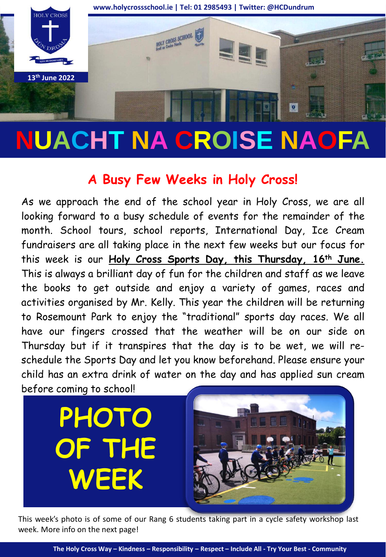

## **NUACHT NA CROISE NAOFA**

## **A Busy Few Weeks in Holy Cross!**

As we approach the end of the school year in Holy Cross, we are all looking forward to a busy schedule of events for the remainder of the month. School tours, school reports, International Day, Ice Cream fundraisers are all taking place in the next few weeks but our focus for this week is our **Holy Cross Sports Day, this Thursday, 16th June.** This is always a brilliant day of fun for the children and staff as we leave the books to get outside and enjoy a variety of games, races and activities organised by Mr. Kelly. This year the children will be returning to Rosemount Park to enjoy the "traditional" sports day races. We all have our fingers crossed that the weather will be on our side on Thursday but if it transpires that the day is to be wet, we will reschedule the Sports Day and let you know beforehand. Please ensure your child has an extra drink of water on the day and has applied sun cream before coming to school!



This week's photo is of some of our Rang 6 students taking part in a cycle safety workshop last week. More info on the next page!